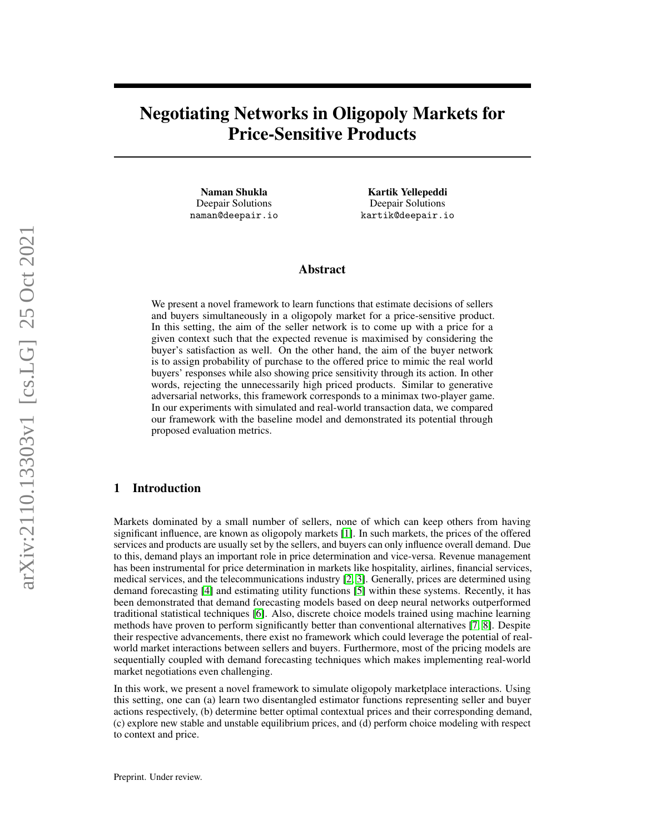# Negotiating Networks in Oligopoly Markets for Price-Sensitive Products

Naman Shukla Deepair Solutions naman@deepair.io

Kartik Yellepeddi Deepair Solutions kartik@deepair.io

# Abstract

We present a novel framework to learn functions that estimate decisions of sellers and buyers simultaneously in a oligopoly market for a price-sensitive product. In this setting, the aim of the seller network is to come up with a price for a given context such that the expected revenue is maximised by considering the buyer's satisfaction as well. On the other hand, the aim of the buyer network is to assign probability of purchase to the offered price to mimic the real world buyers' responses while also showing price sensitivity through its action. In other words, rejecting the unnecessarily high priced products. Similar to generative adversarial networks, this framework corresponds to a minimax two-player game. In our experiments with simulated and real-world transaction data, we compared our framework with the baseline model and demonstrated its potential through proposed evaluation metrics.

# 1 Introduction

Markets dominated by a small number of sellers, none of which can keep others from having significant influence, are known as oligopoly markets [\[1\]](#page-5-0). In such markets, the prices of the offered services and products are usually set by the sellers, and buyers can only influence overall demand. Due to this, demand plays an important role in price determination and vice-versa. Revenue management has been instrumental for price determination in markets like hospitality, airlines, financial services, medical services, and the telecommunications industry [\[2,](#page-5-1) [3\]](#page-5-2). Generally, prices are determined using demand forecasting [\[4\]](#page-5-3) and estimating utility functions [\[5\]](#page-5-4) within these systems. Recently, it has been demonstrated that demand forecasting models based on deep neural networks outperformed traditional statistical techniques [\[6\]](#page-5-5). Also, discrete choice models trained using machine learning methods have proven to perform significantly better than conventional alternatives [\[7,](#page-5-6) [8\]](#page-5-7). Despite their respective advancements, there exist no framework which could leverage the potential of realworld market interactions between sellers and buyers. Furthermore, most of the pricing models are sequentially coupled with demand forecasting techniques which makes implementing real-world market negotiations even challenging.

In this work, we present a novel framework to simulate oligopoly marketplace interactions. Using this setting, one can (a) learn two disentangled estimator functions representing seller and buyer actions respectively, (b) determine better optimal contextual prices and their corresponding demand, (c) explore new stable and unstable equilibrium prices, and (d) perform choice modeling with respect to context and price.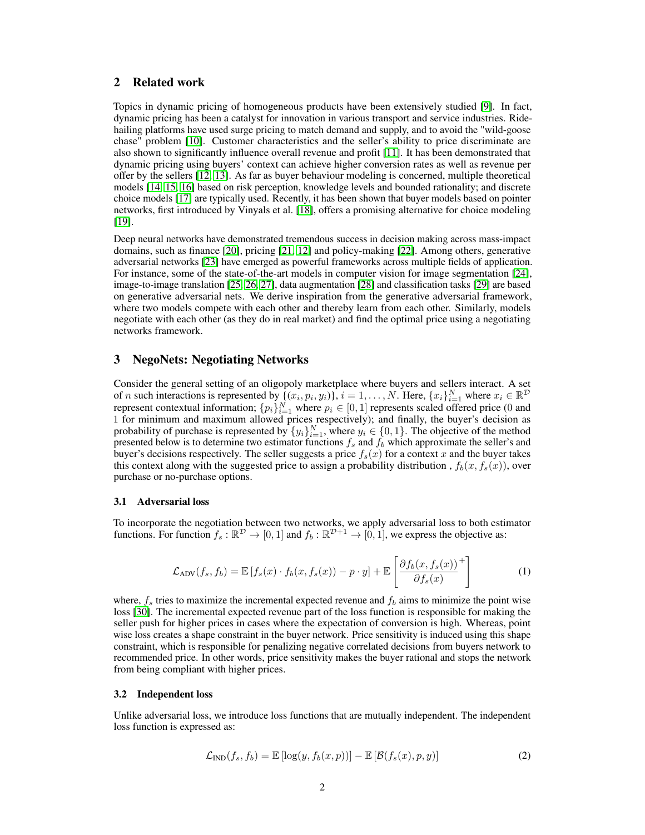# 2 Related work

Topics in dynamic pricing of homogeneous products have been extensively studied [\[9\]](#page-5-8). In fact, dynamic pricing has been a catalyst for innovation in various transport and service industries. Ridehailing platforms have used surge pricing to match demand and supply, and to avoid the "wild-goose chase" problem [\[10\]](#page-5-9). Customer characteristics and the seller's ability to price discriminate are also shown to significantly influence overall revenue and profit [\[11\]](#page-5-10). It has been demonstrated that dynamic pricing using buyers' context can achieve higher conversion rates as well as revenue per offer by the sellers [\[12,](#page-5-11) [13\]](#page-5-12). As far as buyer behaviour modeling is concerned, multiple theoretical models [\[14,](#page-5-13) [15,](#page-5-14) [16\]](#page-5-15) based on risk perception, knowledge levels and bounded rationality; and discrete choice models [\[17\]](#page-5-16) are typically used. Recently, it has been shown that buyer models based on pointer networks, first introduced by Vinyals et al. [\[18\]](#page-6-0), offers a promising alternative for choice modeling [\[19\]](#page-6-1).

Deep neural networks have demonstrated tremendous success in decision making across mass-impact domains, such as finance [\[20\]](#page-6-2), pricing [\[21,](#page-6-3) [12\]](#page-5-11) and policy-making [\[22\]](#page-6-4). Among others, generative adversarial networks [\[23\]](#page-6-5) have emerged as powerful frameworks across multiple fields of application. For instance, some of the state-of-the-art models in computer vision for image segmentation [\[24\]](#page-6-6), image-to-image translation [\[25,](#page-6-7) [26,](#page-6-8) [27\]](#page-6-9), data augmentation [\[28\]](#page-6-10) and classification tasks [\[29\]](#page-6-11) are based on generative adversarial nets. We derive inspiration from the generative adversarial framework, where two models compete with each other and thereby learn from each other. Similarly, models negotiate with each other (as they do in real market) and find the optimal price using a negotiating networks framework.

## 3 NegoNets: Negotiating Networks

Consider the general setting of an oligopoly marketplace where buyers and sellers interact. A set of *n* such interactions is represented by  $\{(x_i, p_i, y_i)\}, i = 1, \ldots, N$ . Here,  $\{x_i\}_{i=1}^N$  where  $x_i \in \mathbb{R}^{\mathcal{D}}$ represent contextual information;  $\{p_i\}_{i=1}^N$  where  $p_i \in [0,1]$  represents scaled offered price (0 and 1 for minimum and maximum allowed prices respectively); and finally, the buyer's decision as probability of purchase is represented by  $\{y_i\}_{i=1}^N$ , where  $y_i \in \{0, 1\}$ . The objective of the method presented below is to determine two estimator functions  $f_s$  and  $f_b$  which approximate the seller's and buyer's decisions respectively. The seller suggests a price  $f_s(x)$  for a context x and the buyer takes this context along with the suggested price to assign a probability distribution,  $f_b(x, f_s(x))$ , over purchase or no-purchase options.

#### 3.1 Adversarial loss

To incorporate the negotiation between two networks, we apply adversarial loss to both estimator functions. For function  $f_s : \mathbb{R}^{\mathcal{D}} \to [0,1]$  and  $f_b : \mathbb{R}^{\mathcal{D}+1} \to [0,1]$ , we express the objective as:

$$
\mathcal{L}_{\text{ADV}}(f_s, f_b) = \mathbb{E}\left[f_s(x) \cdot f_b(x, f_s(x)) - p \cdot y\right] + \mathbb{E}\left[\frac{\partial f_b(x, f_s(x))}{\partial f_s(x)}^+\right] \tag{1}
$$

where,  $f_s$  tries to maximize the incremental expected revenue and  $f_b$  aims to minimize the point wise loss [\[30\]](#page-6-12). The incremental expected revenue part of the loss function is responsible for making the seller push for higher prices in cases where the expectation of conversion is high. Whereas, point wise loss creates a shape constraint in the buyer network. Price sensitivity is induced using this shape constraint, which is responsible for penalizing negative correlated decisions from buyers network to recommended price. In other words, price sensitivity makes the buyer rational and stops the network from being compliant with higher prices.

#### 3.2 Independent loss

<span id="page-1-0"></span>Unlike adversarial loss, we introduce loss functions that are mutually independent. The independent loss function is expressed as:

$$
\mathcal{L}_{\text{IND}}(f_s, f_b) = \mathbb{E}\left[\log(y, f_b(x, p))\right] - \mathbb{E}\left[\mathcal{B}(f_s(x), p, y)\right]
$$
 (2)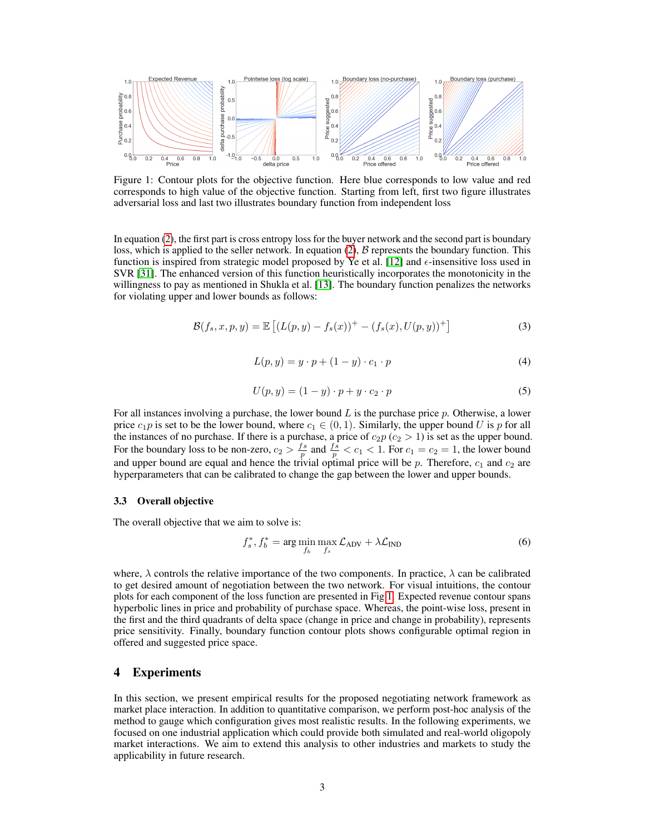<span id="page-2-0"></span>

Figure 1: Contour plots for the objective function. Here blue corresponds to low value and red corresponds to high value of the objective function. Starting from left, first two figure illustrates adversarial loss and last two illustrates boundary function from independent loss

In equation [\(2\)](#page-1-0), the first part is cross entropy loss for the buyer network and the second part is boundary loss, which is applied to the seller network. In equation [\(2\)](#page-1-0),  $\beta$  represents the boundary function. This function is inspired from strategic model proposed by Ye et al. [\[12\]](#page-5-11) and  $\epsilon$ -insensitive loss used in SVR [\[31\]](#page-6-13). The enhanced version of this function heuristically incorporates the monotonicity in the willingness to pay as mentioned in Shukla et al. [\[13\]](#page-5-12). The boundary function penalizes the networks for violating upper and lower bounds as follows:

$$
\mathcal{B}(f_s, x, p, y) = \mathbb{E}\left[ (L(p, y) - f_s(x))^+ - (f_s(x), U(p, y))^+ \right] \tag{3}
$$

$$
L(p, y) = y \cdot p + (1 - y) \cdot c_1 \cdot p \tag{4}
$$

$$
U(p, y) = (1 - y) \cdot p + y \cdot c_2 \cdot p \tag{5}
$$

For all instances involving a purchase, the lower bound  $L$  is the purchase price  $p$ . Otherwise, a lower price  $c_1p$  is set to be the lower bound, where  $c_1 \in (0, 1)$ . Similarly, the upper bound U is p for all the instances of no purchase. If there is a purchase, a price of  $c_2p$  ( $c_2 > 1$ ) is set as the upper bound. For the boundary loss to be non-zero,  $c_2 > \frac{fs}{p}$  and  $\frac{fs}{p} < c_1 < 1$ . For  $c_1 = c_2 = 1$ , the lower bound and upper bound are equal and hence the trivial optimal price will be p. Therefore,  $c_1$  and  $c_2$  are hyperparameters that can be calibrated to change the gap between the lower and upper bounds.

#### 3.3 Overall objective

The overall objective that we aim to solve is:

$$
f_s^*, f_b^* = \arg\min_{f_b} \max_{f_s} \mathcal{L}_{ADV} + \lambda \mathcal{L}_{IND}
$$
 (6)

where,  $\lambda$  controls the relative importance of the two components. In practice,  $\lambda$  can be calibrated to get desired amount of negotiation between the two network. For visual intuitions, the contour plots for each component of the loss function are presented in Fig [1.](#page-2-0) Expected revenue contour spans hyperbolic lines in price and probability of purchase space. Whereas, the point-wise loss, present in the first and the third quadrants of delta space (change in price and change in probability), represents price sensitivity. Finally, boundary function contour plots shows configurable optimal region in offered and suggested price space.

## 4 Experiments

In this section, we present empirical results for the proposed negotiating network framework as market place interaction. In addition to quantitative comparison, we perform post-hoc analysis of the method to gauge which configuration gives most realistic results. In the following experiments, we focused on one industrial application which could provide both simulated and real-world oligopoly market interactions. We aim to extend this analysis to other industries and markets to study the applicability in future research.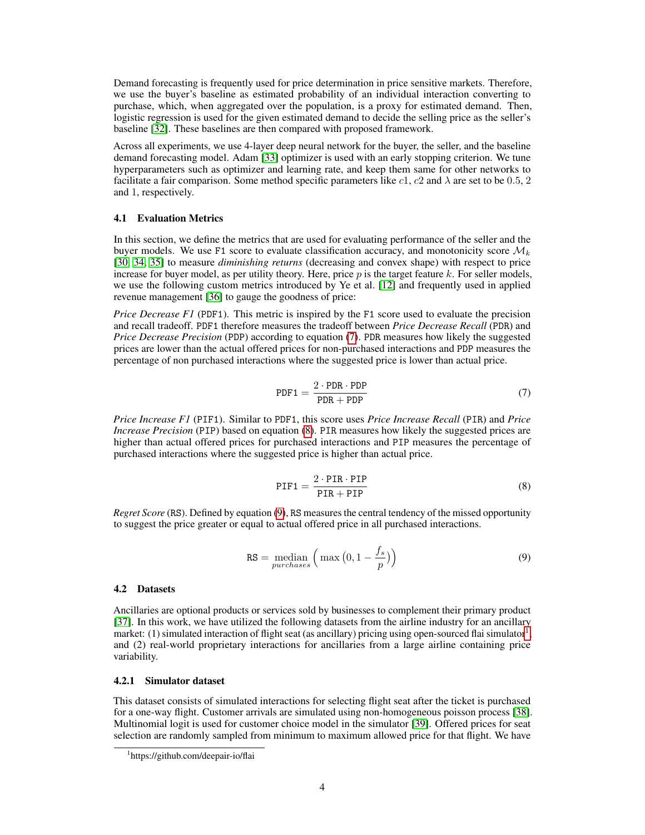Demand forecasting is frequently used for price determination in price sensitive markets. Therefore, we use the buyer's baseline as estimated probability of an individual interaction converting to purchase, which, when aggregated over the population, is a proxy for estimated demand. Then, logistic regression is used for the given estimated demand to decide the selling price as the seller's baseline [\[32\]](#page-6-14). These baselines are then compared with proposed framework.

Across all experiments, we use 4-layer deep neural network for the buyer, the seller, and the baseline demand forecasting model. Adam [\[33\]](#page-6-15) optimizer is used with an early stopping criterion. We tune hyperparameters such as optimizer and learning rate, and keep them same for other networks to facilitate a fair comparison. Some method specific parameters like c1, c2 and  $\lambda$  are set to be 0.5, 2 and 1, respectively.

#### 4.1 Evaluation Metrics

In this section, we define the metrics that are used for evaluating performance of the seller and the buyer models. We use F1 score to evaluate classification accuracy, and monotonicity score  $\mathcal{M}_k$ [\[30,](#page-6-12) [34,](#page-6-16) [35\]](#page-7-0) to measure *diminishing returns* (decreasing and convex shape) with respect to price increase for buyer model, as per utility theory. Here, price  $p$  is the target feature  $k$ . For seller models, we use the following custom metrics introduced by Ye et al. [\[12\]](#page-5-11) and frequently used in applied revenue management [\[36\]](#page-7-1) to gauge the goodness of price:

*Price Decrease F1* (PDF1). This metric is inspired by the F1 score used to evaluate the precision and recall tradeoff. PDF1 therefore measures the tradeoff between *Price Decrease Recall* (PDR) and *Price Decrease Precision* (PDP) according to equation [\(7\)](#page-3-0). PDR measures how likely the suggested prices are lower than the actual offered prices for non-purchased interactions and PDP measures the percentage of non purchased interactions where the suggested price is lower than actual price.

$$
PDF1 = \frac{2 \cdot PDR \cdot PDP}{PDR + PDP}
$$
 (7)

<span id="page-3-1"></span><span id="page-3-0"></span>*Price Increase F1* (PIF1). Similar to PDF1, this score uses *Price Increase Recall* (PIR) and *Price Increase Precision* (PIP) based on equation [\(8\)](#page-3-1). PIR measures how likely the suggested prices are higher than actual offered prices for purchased interactions and PIP measures the percentage of purchased interactions where the suggested price is higher than actual price.

$$
PIF1 = \frac{2 \cdot PIR \cdot PIP}{PIR + PIP}
$$
 (8)

<span id="page-3-2"></span>*Regret Score* (RS). Defined by equation [\(9\)](#page-3-2), RS measures the central tendency of the missed opportunity to suggest the price greater or equal to actual offered price in all purchased interactions.

$$
\text{RS} = \underset{purchases}{\text{median}} \left( \max \left( 0, 1 - \frac{f_s}{p} \right) \right) \tag{9}
$$

#### 4.2 Datasets

Ancillaries are optional products or services sold by businesses to complement their primary product [\[37\]](#page-7-2). In this work, we have utilized the following datasets from the airline industry for an ancillary market: ([1](#page-3-3)) simulated interaction of flight seat (as ancillary) pricing using open-sourced flai simulator<sup>1</sup>, and (2) real-world proprietary interactions for ancillaries from a large airline containing price variability.

#### 4.2.1 Simulator dataset

This dataset consists of simulated interactions for selecting flight seat after the ticket is purchased for a one-way flight. Customer arrivals are simulated using non-homogeneous poisson process [\[38\]](#page-7-3). Multinomial logit is used for customer choice model in the simulator [\[39\]](#page-7-4). Offered prices for seat selection are randomly sampled from minimum to maximum allowed price for that flight. We have

<span id="page-3-3"></span><sup>1</sup> https://github.com/deepair-io/flai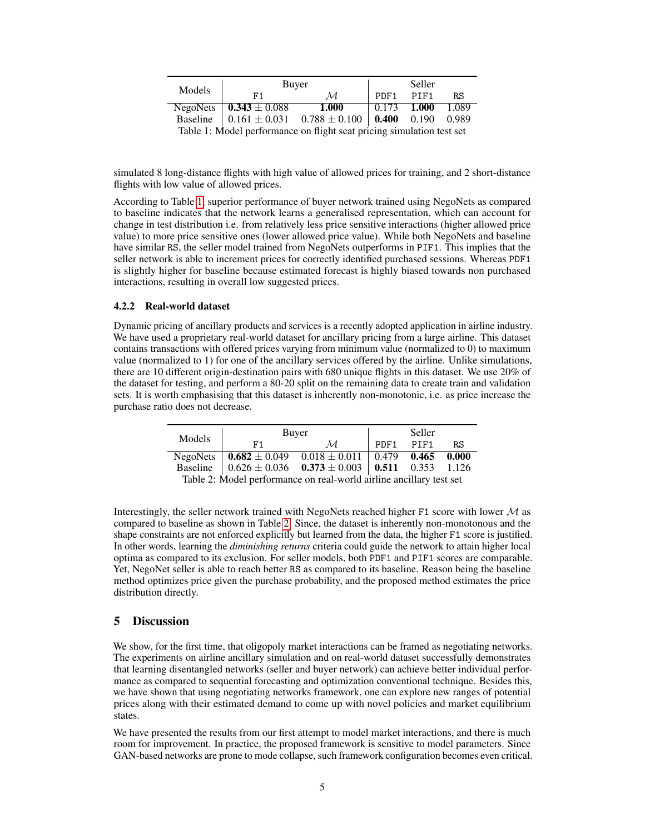<span id="page-4-0"></span>

| Models                                                                | Buyer                                  |                                                                                              | Seller |       |       |  |  |
|-----------------------------------------------------------------------|----------------------------------------|----------------------------------------------------------------------------------------------|--------|-------|-------|--|--|
|                                                                       | F1                                     | $\mathcal M$                                                                                 | PDF1   | PTF1  | R.S   |  |  |
|                                                                       | NegoNets $\vert 0.343 \pm 0.088 \vert$ | 1.000                                                                                        | 0.173  | 1.000 | 1.089 |  |  |
|                                                                       |                                        | Baseline $\begin{array}{ l} 0.161 \pm 0.031 & 0.788 \pm 0.100 \end{array}$ 0.400 0.190 0.989 |        |       |       |  |  |
| Table 1: Model performance on flight seat pricing simulation test set |                                        |                                                                                              |        |       |       |  |  |

simulated 8 long-distance flights with high value of allowed prices for training, and 2 short-distance flights with low value of allowed prices.

According to Table [1,](#page-4-0) superior performance of buyer network trained using NegoNets as compared to baseline indicates that the network learns a generalised representation, which can account for change in test distribution i.e. from relatively less price sensitive interactions (higher allowed price value) to more price sensitive ones (lower allowed price value). While both NegoNets and baseline have similar RS, the seller model trained from NegoNets outperforms in PIF1. This implies that the seller network is able to increment prices for correctly identified purchased sessions. Whereas PDF1 is slightly higher for baseline because estimated forecast is highly biased towards non purchased interactions, resulting in overall low suggested prices.

## 4.2.2 Real-world dataset

Dynamic pricing of ancillary products and services is a recently adopted application in airline industry. We have used a proprietary real-world dataset for ancillary pricing from a large airline. This dataset contains transactions with offered prices varying from minimum value (normalized to 0) to maximum value (normalized to 1) for one of the ancillary services offered by the airline. Unlike simulations, there are 10 different origin-destination pairs with 680 unique flights in this dataset. We use 20% of the dataset for testing, and perform a 80-20 split on the remaining data to create train and validation sets. It is worth emphasising that this dataset is inherently non-monotonic, i.e. as price increase the purchase ratio does not decrease.

<span id="page-4-1"></span>

| Models | Buyer                                                                                                  |               | Seller |      |       |  |
|--------|--------------------------------------------------------------------------------------------------------|---------------|--------|------|-------|--|
|        | F1                                                                                                     | $\mathcal{M}$ | PDF1   | PTF1 | R.S   |  |
|        | NegoNets $\begin{array}{ l} 0.682 \pm 0.049 \quad 0.018 \pm 0.011 \quad 0.479 \quad 0.465 \end{array}$ |               |        |      | 0.000 |  |
|        | Baseline $\begin{array}{ l} 0.626 \pm 0.036 & 0.373 \pm 0.003 \end{array}$ 0.511 0.353 1.126           |               |        |      |       |  |
|        |                                                                                                        |               |        |      |       |  |

Table 2: Model performance on real-world airline ancillary test set

Interestingly, the seller network trained with NegoNets reached higher F1 score with lower  $\mathcal M$  as compared to baseline as shown in Table [2.](#page-4-1) Since, the dataset is inherently non-monotonous and the shape constraints are not enforced explicitly but learned from the data, the higher F1 score is justified. In other words, learning the *diminishing returns* criteria could guide the network to attain higher local optima as compared to its exclusion. For seller models, both PDF1 and PIF1 scores are comparable. Yet, NegoNet seller is able to reach better RS as compared to its baseline. Reason being the baseline method optimizes price given the purchase probability, and the proposed method estimates the price distribution directly.

# 5 Discussion

We show, for the first time, that oligopoly market interactions can be framed as negotiating networks. The experiments on airline ancillary simulation and on real-world dataset successfully demonstrates that learning disentangled networks (seller and buyer network) can achieve better individual performance as compared to sequential forecasting and optimization conventional technique. Besides this, we have shown that using negotiating networks framework, one can explore new ranges of potential prices along with their estimated demand to come up with novel policies and market equilibrium states.

We have presented the results from our first attempt to model market interactions, and there is much room for improvement. In practice, the proposed framework is sensitive to model parameters. Since GAN-based networks are prone to mode collapse, such framework configuration becomes even critical.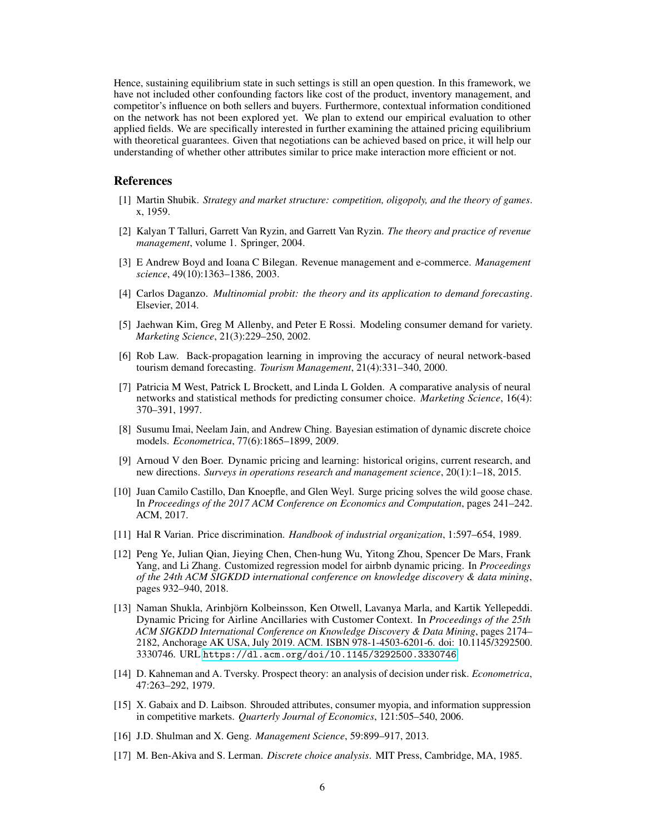Hence, sustaining equilibrium state in such settings is still an open question. In this framework, we have not included other confounding factors like cost of the product, inventory management, and competitor's influence on both sellers and buyers. Furthermore, contextual information conditioned on the network has not been explored yet. We plan to extend our empirical evaluation to other applied fields. We are specifically interested in further examining the attained pricing equilibrium with theoretical guarantees. Given that negotiations can be achieved based on price, it will help our understanding of whether other attributes similar to price make interaction more efficient or not.

### **References**

- <span id="page-5-0"></span>[1] Martin Shubik. *Strategy and market structure: competition, oligopoly, and the theory of games*. x, 1959.
- <span id="page-5-1"></span>[2] Kalyan T Talluri, Garrett Van Ryzin, and Garrett Van Ryzin. *The theory and practice of revenue management*, volume 1. Springer, 2004.
- <span id="page-5-2"></span>[3] E Andrew Boyd and Ioana C Bilegan. Revenue management and e-commerce. *Management science*, 49(10):1363–1386, 2003.
- <span id="page-5-3"></span>[4] Carlos Daganzo. *Multinomial probit: the theory and its application to demand forecasting*. Elsevier, 2014.
- <span id="page-5-4"></span>[5] Jaehwan Kim, Greg M Allenby, and Peter E Rossi. Modeling consumer demand for variety. *Marketing Science*, 21(3):229–250, 2002.
- <span id="page-5-5"></span>[6] Rob Law. Back-propagation learning in improving the accuracy of neural network-based tourism demand forecasting. *Tourism Management*, 21(4):331–340, 2000.
- <span id="page-5-6"></span>[7] Patricia M West, Patrick L Brockett, and Linda L Golden. A comparative analysis of neural networks and statistical methods for predicting consumer choice. *Marketing Science*, 16(4): 370–391, 1997.
- <span id="page-5-7"></span>[8] Susumu Imai, Neelam Jain, and Andrew Ching. Bayesian estimation of dynamic discrete choice models. *Econometrica*, 77(6):1865–1899, 2009.
- <span id="page-5-8"></span>[9] Arnoud V den Boer. Dynamic pricing and learning: historical origins, current research, and new directions. *Surveys in operations research and management science*, 20(1):1–18, 2015.
- <span id="page-5-9"></span>[10] Juan Camilo Castillo, Dan Knoepfle, and Glen Weyl. Surge pricing solves the wild goose chase. In *Proceedings of the 2017 ACM Conference on Economics and Computation*, pages 241–242. ACM, 2017.
- <span id="page-5-10"></span>[11] Hal R Varian. Price discrimination. *Handbook of industrial organization*, 1:597–654, 1989.
- <span id="page-5-11"></span>[12] Peng Ye, Julian Qian, Jieying Chen, Chen-hung Wu, Yitong Zhou, Spencer De Mars, Frank Yang, and Li Zhang. Customized regression model for airbnb dynamic pricing. In *Proceedings of the 24th ACM SIGKDD international conference on knowledge discovery & data mining*, pages 932–940, 2018.
- <span id="page-5-12"></span>[13] Naman Shukla, Arinbjörn Kolbeinsson, Ken Otwell, Lavanya Marla, and Kartik Yellepeddi. Dynamic Pricing for Airline Ancillaries with Customer Context. In *Proceedings of the 25th ACM SIGKDD International Conference on Knowledge Discovery & Data Mining*, pages 2174– 2182, Anchorage AK USA, July 2019. ACM. ISBN 978-1-4503-6201-6. doi: 10.1145/3292500. 3330746. URL <https://dl.acm.org/doi/10.1145/3292500.3330746>.
- <span id="page-5-13"></span>[14] D. Kahneman and A. Tversky. Prospect theory: an analysis of decision under risk. *Econometrica*, 47:263–292, 1979.
- <span id="page-5-14"></span>[15] X. Gabaix and D. Laibson. Shrouded attributes, consumer myopia, and information suppression in competitive markets. *Quarterly Journal of Economics*, 121:505–540, 2006.
- <span id="page-5-15"></span>[16] J.D. Shulman and X. Geng. *Management Science*, 59:899–917, 2013.
- <span id="page-5-16"></span>[17] M. Ben-Akiva and S. Lerman. *Discrete choice analysis*. MIT Press, Cambridge, MA, 1985.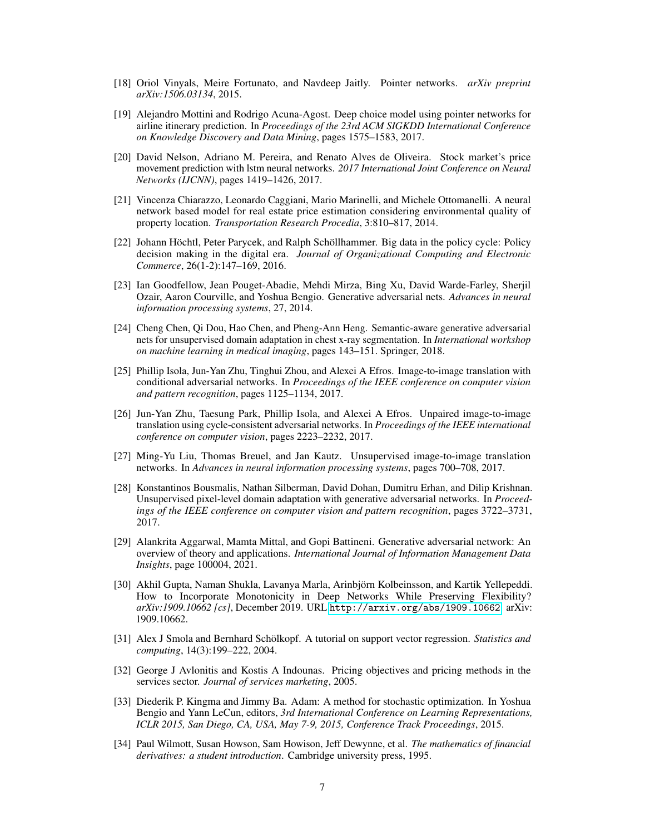- <span id="page-6-0"></span>[18] Oriol Vinyals, Meire Fortunato, and Navdeep Jaitly. Pointer networks. *arXiv preprint arXiv:1506.03134*, 2015.
- <span id="page-6-1"></span>[19] Alejandro Mottini and Rodrigo Acuna-Agost. Deep choice model using pointer networks for airline itinerary prediction. In *Proceedings of the 23rd ACM SIGKDD International Conference on Knowledge Discovery and Data Mining*, pages 1575–1583, 2017.
- <span id="page-6-2"></span>[20] David Nelson, Adriano M. Pereira, and Renato Alves de Oliveira. Stock market's price movement prediction with lstm neural networks. *2017 International Joint Conference on Neural Networks (IJCNN)*, pages 1419–1426, 2017.
- <span id="page-6-3"></span>[21] Vincenza Chiarazzo, Leonardo Caggiani, Mario Marinelli, and Michele Ottomanelli. A neural network based model for real estate price estimation considering environmental quality of property location. *Transportation Research Procedia*, 3:810–817, 2014.
- <span id="page-6-4"></span>[22] Johann Höchtl, Peter Parycek, and Ralph Schöllhammer. Big data in the policy cycle: Policy decision making in the digital era. *Journal of Organizational Computing and Electronic Commerce*, 26(1-2):147–169, 2016.
- <span id="page-6-5"></span>[23] Ian Goodfellow, Jean Pouget-Abadie, Mehdi Mirza, Bing Xu, David Warde-Farley, Sherjil Ozair, Aaron Courville, and Yoshua Bengio. Generative adversarial nets. *Advances in neural information processing systems*, 27, 2014.
- <span id="page-6-6"></span>[24] Cheng Chen, Qi Dou, Hao Chen, and Pheng-Ann Heng. Semantic-aware generative adversarial nets for unsupervised domain adaptation in chest x-ray segmentation. In *International workshop on machine learning in medical imaging*, pages 143–151. Springer, 2018.
- <span id="page-6-7"></span>[25] Phillip Isola, Jun-Yan Zhu, Tinghui Zhou, and Alexei A Efros. Image-to-image translation with conditional adversarial networks. In *Proceedings of the IEEE conference on computer vision and pattern recognition*, pages 1125–1134, 2017.
- <span id="page-6-8"></span>[26] Jun-Yan Zhu, Taesung Park, Phillip Isola, and Alexei A Efros. Unpaired image-to-image translation using cycle-consistent adversarial networks. In *Proceedings of the IEEE international conference on computer vision*, pages 2223–2232, 2017.
- <span id="page-6-9"></span>[27] Ming-Yu Liu, Thomas Breuel, and Jan Kautz. Unsupervised image-to-image translation networks. In *Advances in neural information processing systems*, pages 700–708, 2017.
- <span id="page-6-10"></span>[28] Konstantinos Bousmalis, Nathan Silberman, David Dohan, Dumitru Erhan, and Dilip Krishnan. Unsupervised pixel-level domain adaptation with generative adversarial networks. In *Proceedings of the IEEE conference on computer vision and pattern recognition*, pages 3722–3731, 2017.
- <span id="page-6-11"></span>[29] Alankrita Aggarwal, Mamta Mittal, and Gopi Battineni. Generative adversarial network: An overview of theory and applications. *International Journal of Information Management Data Insights*, page 100004, 2021.
- <span id="page-6-12"></span>[30] Akhil Gupta, Naman Shukla, Lavanya Marla, Arinbjörn Kolbeinsson, and Kartik Yellepeddi. How to Incorporate Monotonicity in Deep Networks While Preserving Flexibility? *arXiv:1909.10662 [cs]*, December 2019. URL <http://arxiv.org/abs/1909.10662>. arXiv: 1909.10662.
- <span id="page-6-13"></span>[31] Alex J Smola and Bernhard Schölkopf. A tutorial on support vector regression. *Statistics and computing*, 14(3):199–222, 2004.
- <span id="page-6-14"></span>[32] George J Avlonitis and Kostis A Indounas. Pricing objectives and pricing methods in the services sector. *Journal of services marketing*, 2005.
- <span id="page-6-15"></span>[33] Diederik P. Kingma and Jimmy Ba. Adam: A method for stochastic optimization. In Yoshua Bengio and Yann LeCun, editors, *3rd International Conference on Learning Representations, ICLR 2015, San Diego, CA, USA, May 7-9, 2015, Conference Track Proceedings*, 2015.
- <span id="page-6-16"></span>[34] Paul Wilmott, Susan Howson, Sam Howison, Jeff Dewynne, et al. *The mathematics of financial derivatives: a student introduction*. Cambridge university press, 1995.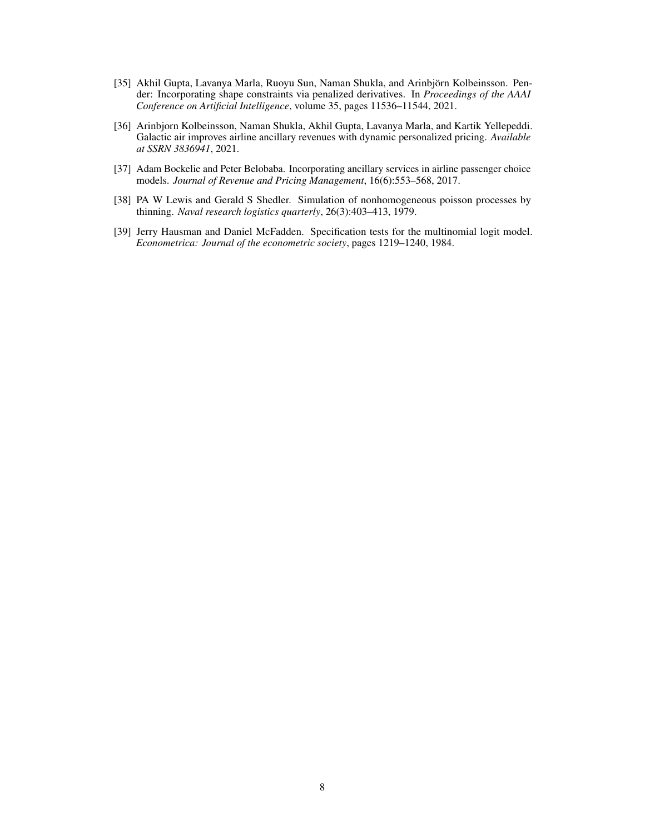- <span id="page-7-0"></span>[35] Akhil Gupta, Lavanya Marla, Ruoyu Sun, Naman Shukla, and Arinbjörn Kolbeinsson. Pender: Incorporating shape constraints via penalized derivatives. In *Proceedings of the AAAI Conference on Artificial Intelligence*, volume 35, pages 11536–11544, 2021.
- <span id="page-7-1"></span>[36] Arinbjorn Kolbeinsson, Naman Shukla, Akhil Gupta, Lavanya Marla, and Kartik Yellepeddi. Galactic air improves airline ancillary revenues with dynamic personalized pricing. *Available at SSRN 3836941*, 2021.
- <span id="page-7-2"></span>[37] Adam Bockelie and Peter Belobaba. Incorporating ancillary services in airline passenger choice models. *Journal of Revenue and Pricing Management*, 16(6):553–568, 2017.
- <span id="page-7-3"></span>[38] PA W Lewis and Gerald S Shedler. Simulation of nonhomogeneous poisson processes by thinning. *Naval research logistics quarterly*, 26(3):403–413, 1979.
- <span id="page-7-4"></span>[39] Jerry Hausman and Daniel McFadden. Specification tests for the multinomial logit model. *Econometrica: Journal of the econometric society*, pages 1219–1240, 1984.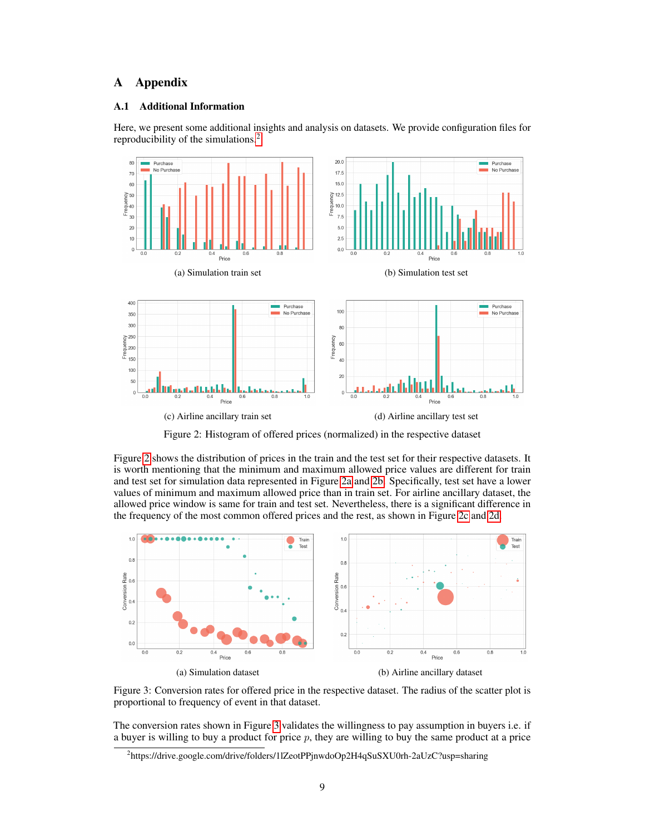# A Appendix

### A.1 Additional Information

Here, we present some additional insights and analysis on datasets. We provide configuration files for reproducibility of the simulations.[2](#page-8-0)

<span id="page-8-1"></span>

Figure 2: Histogram of offered prices (normalized) in the respective dataset

Figure [2](#page-8-1) shows the distribution of prices in the train and the test set for their respective datasets. It is worth mentioning that the minimum and maximum allowed price values are different for train and test set for simulation data represented in Figure [2a](#page-8-1) and [2b.](#page-8-1) Specifically, test set have a lower values of minimum and maximum allowed price than in train set. For airline ancillary dataset, the allowed price window is same for train and test set. Nevertheless, there is a significant difference in the frequency of the most common offered prices and the rest, as shown in Figure [2c](#page-8-1) and [2d.](#page-8-1)

<span id="page-8-2"></span>

Figure 3: Conversion rates for offered price in the respective dataset. The radius of the scatter plot is proportional to frequency of event in that dataset.

The conversion rates shown in Figure [3](#page-8-2) validates the willingness to pay assumption in buyers i.e. if a buyer is willing to buy a product for price  $p$ , they are willing to buy the same product at a price

<span id="page-8-0"></span><sup>&</sup>lt;sup>2</sup>https://drive.google.com/drive/folders/1lZeotPPjnwdoOp2H4qSuSXU0rh-2aUzC?usp=sharing